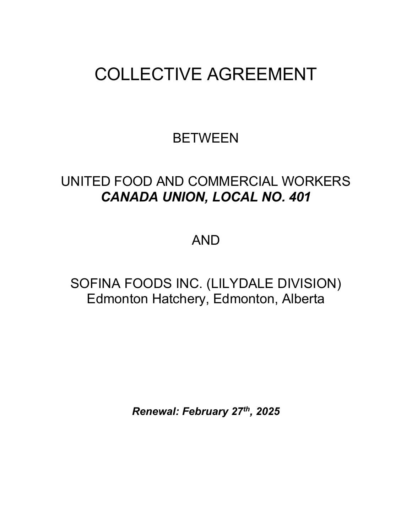# COLLECTIVE AGREEMENT

# **BETWEEN**

# UNITED FOOD AND COMMERCIAL WORKERS *CANADA UNION, LOCAL NO. 401*

# AND

# SOFINA FOODS INC. (LILYDALE DIVISION) Edmonton Hatchery, Edmonton, Alberta

*Renewal: February 27th, 2025*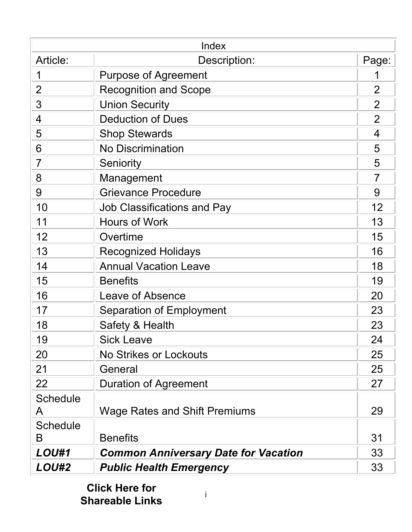<span id="page-1-0"></span>

| Index           |                                             |                |  |  |  |
|-----------------|---------------------------------------------|----------------|--|--|--|
| Article:        | Description:                                | Page:          |  |  |  |
| 1               | <b>Purpose of Agreement</b>                 |                |  |  |  |
| $\overline{2}$  | <b>Recognition and Scope</b>                |                |  |  |  |
| 3               | <b>Union Security</b>                       | $\overline{2}$ |  |  |  |
| 4               | <b>Deduction of Dues</b>                    | $\overline{2}$ |  |  |  |
| 5               | <b>Shop Stewards</b>                        | 4              |  |  |  |
| 6               | <b>No Discrimination</b>                    | 5              |  |  |  |
| $\overline{7}$  | Seniority                                   | 5              |  |  |  |
| 8               | Management                                  | 7              |  |  |  |
| 9               | <b>Grievance Procedure</b>                  | 9              |  |  |  |
| 10              | <b>Job Classifications and Pay</b>          | 12             |  |  |  |
| 11              | <b>Hours of Work</b>                        | 13             |  |  |  |
| 12              | Overtime                                    | 15             |  |  |  |
| 13              | <b>Recognized Holidays</b>                  | 16             |  |  |  |
| 14              | <b>Annual Vacation Leave</b>                | 18             |  |  |  |
| 15              | <b>Benefits</b>                             | 19             |  |  |  |
| 16              | Leave of Absence                            | 20             |  |  |  |
| 17              | Separation of Employment                    | 23             |  |  |  |
| 18              | Safety & Health                             | 23             |  |  |  |
| 19              | <b>Sick Leave</b>                           | 24             |  |  |  |
| 20              | No Strikes or Lockouts                      | 25             |  |  |  |
| 21              | General                                     | 25             |  |  |  |
| 22              | Duration of Agreement                       | 27             |  |  |  |
| <b>Schedule</b> |                                             |                |  |  |  |
| A               | <b>Wage Rates and Shift Premiums</b>        | 29             |  |  |  |
| <b>Schedule</b> |                                             |                |  |  |  |
| B               | <b>Benefits</b>                             | 31             |  |  |  |
| LOU#1           | <b>Common Anniversary Date for Vacation</b> | 33             |  |  |  |
| <b>LOU#2</b>    | <b>Public Health Emergency</b>              | 33             |  |  |  |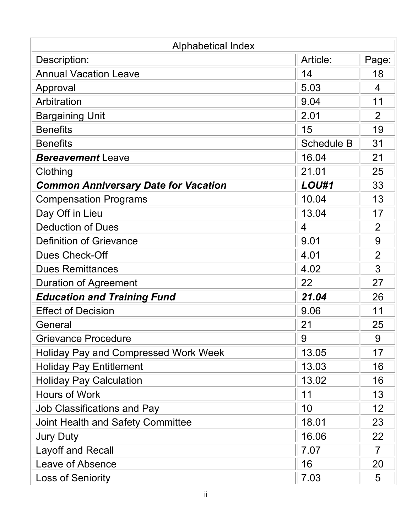| <b>Alphabetical Index</b>                   |                   |                 |  |  |  |
|---------------------------------------------|-------------------|-----------------|--|--|--|
| Description:                                | Article:          | Page:           |  |  |  |
| <b>Annual Vacation Leave</b>                | 14                | 18              |  |  |  |
| Approval                                    | 5.03              | 4               |  |  |  |
| Arbitration                                 | 9.04              | 11              |  |  |  |
| <b>Bargaining Unit</b>                      | 2.01              | $\overline{2}$  |  |  |  |
| <b>Benefits</b>                             | 15                | 19              |  |  |  |
| <b>Benefits</b>                             | <b>Schedule B</b> | 31              |  |  |  |
| <b>Bereavement</b> Leave                    | 16.04             | 21              |  |  |  |
| Clothing                                    | 21.01             | 25              |  |  |  |
| <b>Common Anniversary Date for Vacation</b> | LOU#1             | 33              |  |  |  |
| <b>Compensation Programs</b>                | 10.04             | 13              |  |  |  |
| Day Off in Lieu                             | 13.04             | 17              |  |  |  |
| <b>Deduction of Dues</b>                    | 4                 | 2               |  |  |  |
| <b>Definition of Grievance</b>              | 9.01              | 9               |  |  |  |
| <b>Dues Check-Off</b>                       | 4.01              | $\overline{2}$  |  |  |  |
| <b>Dues Remittances</b>                     | 4.02              | 3               |  |  |  |
| <b>Duration of Agreement</b>                | 22                | 27              |  |  |  |
| <b>Education and Training Fund</b>          | 21.04             | 26              |  |  |  |
| <b>Effect of Decision</b>                   | 9.06              | 11              |  |  |  |
| General                                     | 21                | 25              |  |  |  |
| <b>Grievance Procedure</b>                  | 9                 | 9               |  |  |  |
| <b>Holiday Pay and Compressed Work Week</b> | 13.05             | 17              |  |  |  |
| <b>Holiday Pay Entitlement</b>              | 13.03             | 16              |  |  |  |
| <b>Holiday Pay Calculation</b>              | 13.02             | 16              |  |  |  |
| <b>Hours of Work</b>                        | 11                | 13              |  |  |  |
| <b>Job Classifications and Pay</b>          | 10                | 12 <sub>2</sub> |  |  |  |
| <b>Joint Health and Safety Committee</b>    | 18.01             | 23              |  |  |  |
| <b>Jury Duty</b>                            | 16.06             | 22              |  |  |  |
| <b>Layoff and Recall</b>                    | 7.07              | $\overline{7}$  |  |  |  |
| Leave of Absence                            | 16                | 20              |  |  |  |
| <b>Loss of Seniority</b>                    | 7.03              | 5               |  |  |  |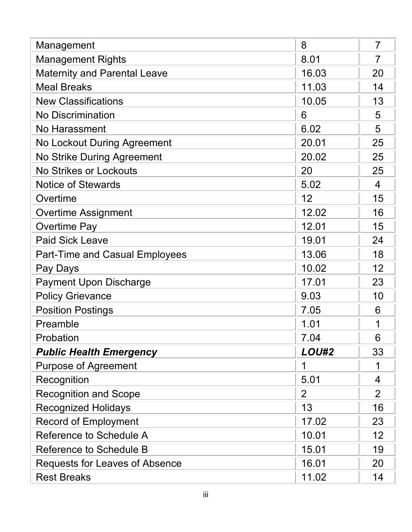| Management                            | 8              | $\overline{7}$  |
|---------------------------------------|----------------|-----------------|
| <b>Management Rights</b>              | 8.01           | 7               |
| <b>Maternity and Parental Leave</b>   | 16.03          | 20              |
| <b>Meal Breaks</b>                    | 11.03          | 14              |
| <b>New Classifications</b>            | 10.05          | 13              |
| <b>No Discrimination</b>              | 6              | 5               |
| No Harassment                         | 6.02           | 5               |
| No Lockout During Agreement           | 20.01          | 25              |
| No Strike During Agreement            | 20.02          | 25              |
| <b>No Strikes or Lockouts</b>         | 20             | 25              |
| <b>Notice of Stewards</b>             | 5.02           | $\overline{4}$  |
| Overtime                              | 12             | 15              |
| <b>Overtime Assignment</b>            | 12.02          | 16              |
| <b>Overtime Pay</b>                   | 12.01          | 15              |
| <b>Paid Sick Leave</b>                | 19.01          | 24              |
| <b>Part-Time and Casual Employees</b> | 13.06          | 18              |
| Pay Days                              | 10.02          | 12              |
| <b>Payment Upon Discharge</b>         | 17.01          | 23              |
| <b>Policy Grievance</b>               | 9.03           | 10              |
| <b>Position Postings</b>              | 7.05           | 6               |
| Preamble                              | 1.01           | 1               |
| Probation                             | 7.04           | 6               |
| <b>Public Health Emergency</b>        | LOU#2          | 33              |
| <b>Purpose of Agreement</b>           |                | 1               |
| Recognition                           | 5.01           | 4               |
| <b>Recognition and Scope</b>          | $\overline{2}$ | $\overline{2}$  |
| <b>Recognized Holidays</b>            | 13             | 16              |
| <b>Record of Employment</b>           | 17.02          | 23              |
| Reference to Schedule A               | 10.01          | 12 <sub>2</sub> |
| Reference to Schedule B               | 15.01          | 19              |
| Requests for Leaves of Absence        | 16.01          | 20              |
| <b>Rest Breaks</b>                    | 11.02          | 14              |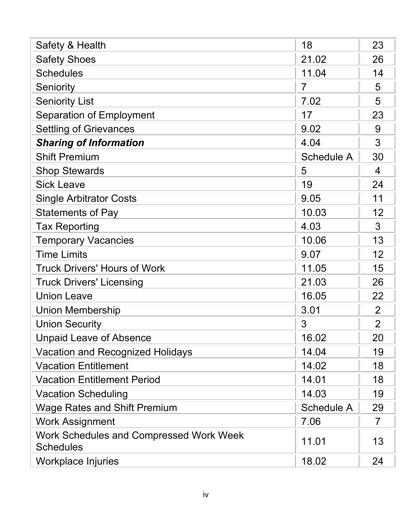| Safety & Health                                             | 18                | 23             |
|-------------------------------------------------------------|-------------------|----------------|
| <b>Safety Shoes</b>                                         | 21.02             | 26             |
| <b>Schedules</b>                                            | 11.04             | 14             |
| Seniority                                                   | $\overline{7}$    | 5              |
| <b>Seniority List</b>                                       | 7.02              | 5              |
| <b>Separation of Employment</b>                             | 17                | 23             |
| <b>Settling of Grievances</b>                               | 9.02              | 9              |
| <b>Sharing of Information</b>                               | 4.04              | 3              |
| <b>Shift Premium</b>                                        | <b>Schedule A</b> | 30             |
| <b>Shop Stewards</b>                                        | 5                 | 4              |
| <b>Sick Leave</b>                                           | 19                | 24             |
| <b>Single Arbitrator Costs</b>                              | 9.05              | 11             |
| <b>Statements of Pay</b>                                    | 10.03             | 12             |
| <b>Tax Reporting</b>                                        | 4.03              | 3              |
| <b>Temporary Vacancies</b>                                  | 10.06             | 13             |
| <b>Time Limits</b>                                          | 9.07              | 12             |
| <b>Truck Drivers' Hours of Work</b>                         | 11.05             | 15             |
| <b>Truck Drivers' Licensing</b>                             | 21.03             | 26             |
| <b>Union Leave</b>                                          | 16.05             | 22             |
| <b>Union Membership</b>                                     | 3.01              | $\overline{2}$ |
| <b>Union Security</b>                                       | 3                 | $\overline{2}$ |
| <b>Unpaid Leave of Absence</b>                              | 16.02             | 20             |
| Vacation and Recognized Holidays                            | 14.04             | 19             |
| <b>Vacation Entitlement</b>                                 | 14.02             | 18             |
| <b>Vacation Entitlement Period</b>                          | 14.01             | 18             |
| <b>Vacation Scheduling</b>                                  | 14.03             | 19             |
| <b>Wage Rates and Shift Premium</b>                         | <b>Schedule A</b> | 29             |
| <b>Work Assignment</b>                                      | 7.06              | $\overline{7}$ |
| Work Schedules and Compressed Work Week<br><b>Schedules</b> | 11.01             | 13             |
| <b>Workplace Injuries</b>                                   | 18.02             | 24             |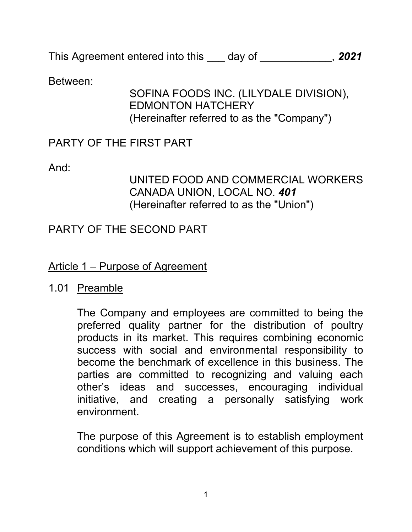<span id="page-5-0"></span>This Agreement entered into this \_\_\_ day of \_\_\_\_\_\_\_\_\_\_\_\_, *2021*

Between:

SOFINA FOODS INC. (LILYDALE DIVISION), EDMONTON HATCHERY (Hereinafter referred to as the "Company")

# PARTY OF THE FIRST PART

And:

# UNITED FOOD AND COMMERCIAL WORKERS CANADA UNION, LOCAL NO. *401* (Hereinafter referred to as the "Union")

# PARTY OF THE SECOND PART

# Article 1 – Purpose of Agreement

1.01 Preamble

The Company and employees are committed to being the preferred quality partner for the distribution of poultry products in its market. This requires combining economic success with social and environmental responsibility to become the benchmark of excellence in this business. The parties are committed to recognizing and valuing each other's ideas and successes, encouraging individual initiative, and creating a personally satisfying work environment.

The purpose of this Agreement is to establish employment conditions which will support achievement of this purpose.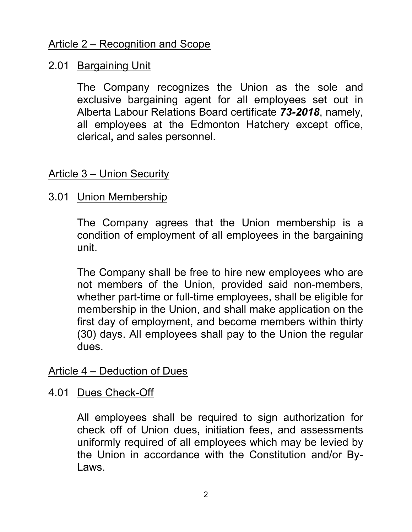# <span id="page-6-0"></span>Article 2 – Recognition and Scope

# 2.01 Bargaining Unit

The Company recognizes the Union as the sole and exclusive bargaining agent for all employees set out in Alberta Labour Relations Board certificate *73-2018*, namely, all employees at the Edmonton Hatchery except office, clerical**,** and sales personnel.

# Article 3 – Union Security

# 3.01 Union Membership

The Company agrees that the Union membership is a condition of employment of all employees in the bargaining unit.

The Company shall be free to hire new employees who are not members of the Union, provided said non-members, whether part-time or full-time employees, shall be eligible for membership in the Union, and shall make application on the first day of employment, and become members within thirty (30) days. All employees shall pay to the Union the regular dues.

# Article 4 – Deduction of Dues

# 4.01 Dues Check-Off

All employees shall be required to sign authorization for check off of Union dues, initiation fees, and assessments uniformly required of all employees which may be levied by the Union in accordance with the Constitution and/or By-Laws.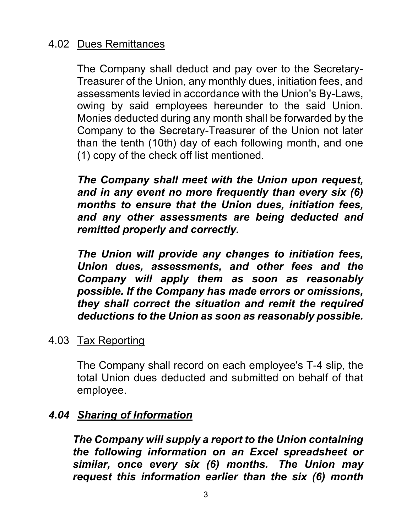# <span id="page-7-0"></span>4.02 Dues Remittances

The Company shall deduct and pay over to the Secretary-Treasurer of the Union, any monthly dues, initiation fees, and assessments levied in accordance with the Union's By-Laws, owing by said employees hereunder to the said Union. Monies deducted during any month shall be forwarded by the Company to the Secretary-Treasurer of the Union not later than the tenth (10th) day of each following month, and one (1) copy of the check off list mentioned.

*The Company shall meet with the Union upon request, and in any event no more frequently than every six (6) months to ensure that the Union dues, initiation fees, and any other assessments are being deducted and remitted properly and correctly.* 

*The Union will provide any changes to initiation fees, Union dues, assessments, and other fees and the Company will apply them as soon as reasonably possible. If the Company has made errors or omissions, they shall correct the situation and remit the required deductions to the Union as soon as reasonably possible.*

#### 4.03 Tax Reporting

The Company shall record on each employee's T-4 slip, the total Union dues deducted and submitted on behalf of that employee.

# *4.04 Sharing of Information*

*The Company will supply a report to the Union containing the following information on an Excel spreadsheet or similar, once every six (6) months. The Union may request this info[rmation earlier than](#page-1-0) the six (6) month*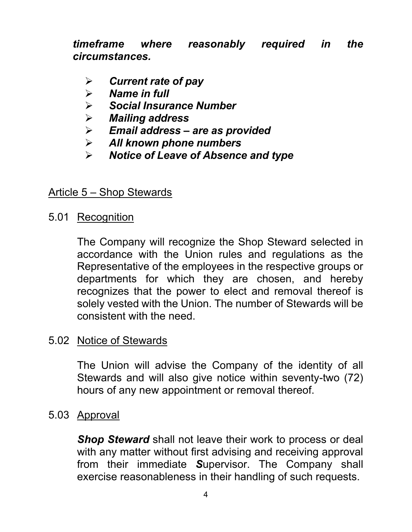<span id="page-8-0"></span>*timeframe where reasonably required in the circumstances.* 

- *Current rate of pay*
- *Name in full*
- *Social Insurance Number*
- *Mailing address*
- *Email address – are as provided*
- *All known phone numbers*
- *Notice of Leave of Absence and type*

#### Article 5 – Shop Stewards

5.01 Recognition

The Company will recognize the Shop Steward selected in accordance with the Union rules and regulations as the Representative of the employees in the respective groups or departments for which they are chosen, and hereby recognizes that the power to elect and removal thereof is solely vested with the Union. The number of Stewards will be consistent with the need.

#### 5.02 Notice of Stewards

The Union will advise the Company of the identity of all Stewards and will also give notice within seventy-two (72) hours of any new appointment or removal thereof.

5.03 Approval

**Shop Steward** shall not leave their work to process or deal with any matter without first advising and receiving approval from their immediate *S*upervisor. The Company shall exercise reasonableness in their handling of such requests.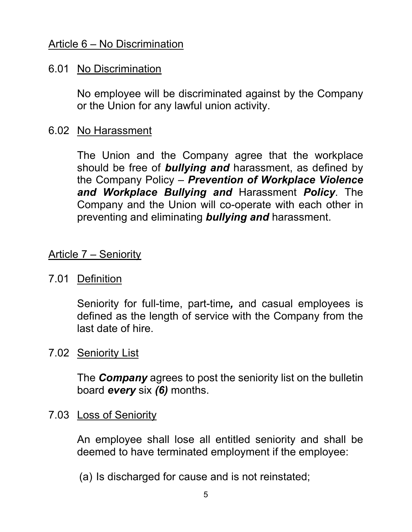# <span id="page-9-0"></span>Article 6 – No Discrimination

## 6.01 No Discrimination

No employee will be discriminated against by the Company or the Union for any lawful union activity.

#### 6.02 No Harassment

The Union and the Company agree that the workplace should be free of *bullying and* harassment, as defined by the Company Policy – *Prevention of Workplace Violence and Workplace Bullying and* Harassment *Policy*. The Company and the Union will co-operate with each other in preventing and eliminating *bullying and* harassment.

#### Article 7 – Seniority

# 7.01 Definition

Seniority for full-time, part-time*,* and casual employees is defined as the length of service with the Company from the last date of hire.

#### 7.02 Seniority List

The *Company* agrees to post the seniority list on the bulletin board *every* six *(6)* months.

#### 7.03 Loss of Seniority

An employee shall lose all entitled seniority and shall be deemed to have terminated employment if the employee:

(a) Is discharge[d for cause and is no](#page-1-0)t reinstated;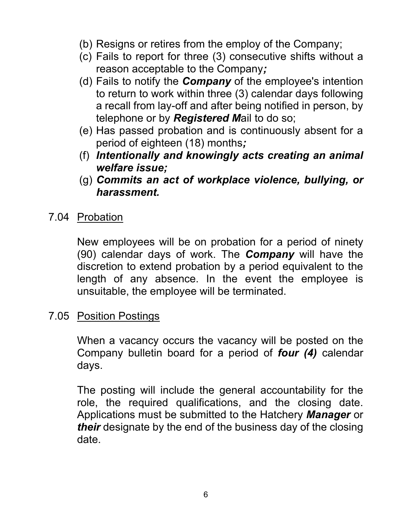- <span id="page-10-0"></span>(b) Resigns or retires from the employ of the Company;
- (c) Fails to report for three (3) consecutive shifts without a reason acceptable to the Company*;*
- (d) Fails to notify the *Company* of the employee's intention to return to work within three (3) calendar days following a recall from lay-off and after being notified in person, by telephone or by *Registered M*ail to do so;
- (e) Has passed probation and is continuously absent for a period of eighteen (18) months*;*
- (f) *Intentionally and knowingly acts creating an animal welfare issue;*
- (g) *Commits an act of workplace violence, bullying, or harassment.*
- 7.04 Probation

New employees will be on probation for a period of ninety (90) calendar days of work. The *Company* will have the discretion to extend probation by a period equivalent to the length of any absence. In the event the employee is unsuitable, the employee will be terminated.

7.05 Position Postings

When a vacancy occurs the vacancy will be posted on the Company bulletin board for a period of *four (4)* calendar days.

The posting will include the general accountability for the role, the required qualifications, and the closing date. Applications must be submitted to the Hatchery *Manager* or *their* designate by the end of the business day of the closing date.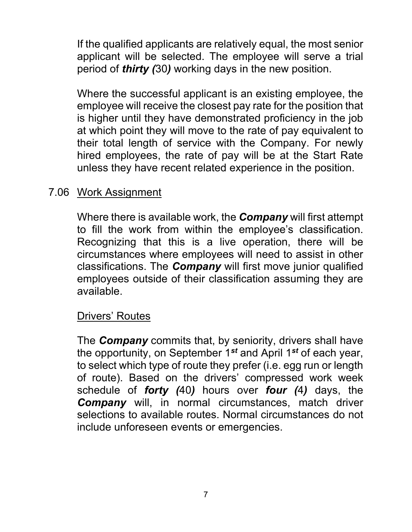<span id="page-11-0"></span>If the qualified applicants are relatively equal, the most senior applicant will be selected. The employee will serve a trial period of *thirty (*30*)* working days in the new position.

Where the successful applicant is an existing employee, the employee will receive the closest pay rate for the position that is higher until they have demonstrated proficiency in the job at which point they will move to the rate of pay equivalent to their total length of service with the Company. For newly hired employees, the rate of pay will be at the Start Rate unless they have recent related experience in the position.

# 7.06 Work Assignment

Where there is available work, the *Company* will first attempt to fill the work from within the employee's classification. Recognizing that this is a live operation, there will be circumstances where employees will need to assist in other classifications. The *Company* will first move junior qualified employees outside of their classification assuming they are available.

# **Drivers' Routes**

The *Company* commits that, by seniority, drivers shall have the opportunity, on September 1*st* and April 1*st* of each year, to select which type of route they prefer (i.e. egg run or length of route). Based on the drivers' compressed work week schedule of *forty (*40*)* hours over *four (*4*)* days, the *Company* will, in normal circumstances, match driver selections to available routes. Normal circumstances do not include unforeseen events or emergencies.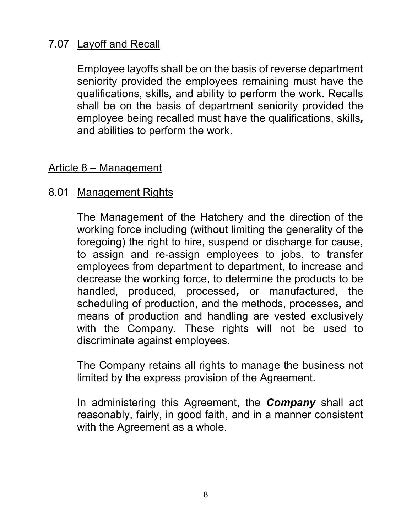# <span id="page-12-0"></span>7.07 Layoff and Recall

Employee layoffs shall be on the basis of reverse department seniority provided the employees remaining must have the qualifications, skills*,* and ability to perform the work. Recalls shall be on the basis of department seniority provided the employee being recalled must have the qualifications, skills*,* and abilities to perform the work.

# Article 8 – Management

# 8.01 Management Rights

The Management of the Hatchery and the direction of the working force including (without limiting the generality of the foregoing) the right to hire, suspend or discharge for cause, to assign and re-assign employees to jobs, to transfer employees from department to department, to increase and decrease the working force, to determine the products to be handled, produced, processed*,* or manufactured, the scheduling of production, and the methods, processes*,* and means of production and handling are vested exclusively with the Company. These rights will not be used to discriminate against employees.

The Company retains all rights to manage the business not limited by the express provision of the Agreement.

In administering this Agreement, the *Company* shall act reasonably, fairly, in good faith, and in a manner consistent with the Agreement as a whole.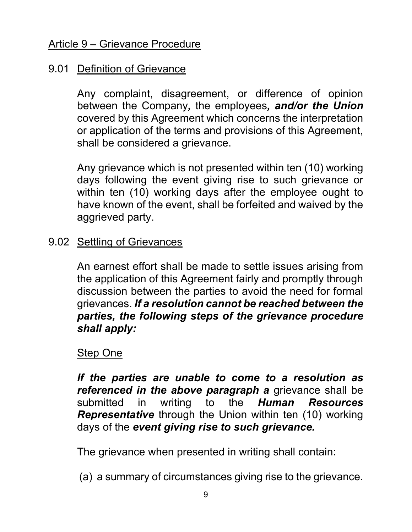## <span id="page-13-0"></span>Article 9 – Grievance Procedure

# 9.01 Definition of Grievance

Any complaint, disagreement, or difference of opinion between the Company*,* the employees*, and/or the Union* covered by this Agreement which concerns the interpretation or application of the terms and provisions of this Agreement, shall be considered a grievance.

Any grievance which is not presented within ten (10) working days following the event giving rise to such grievance or within ten (10) working days after the employee ought to have known of the event, shall be forfeited and waived by the aggrieved party.

# 9.02 Settling of Grievances

An earnest effort shall be made to settle issues arising from the application of this Agreement fairly and promptly through discussion between the parties to avoid the need for formal grievances. *If a resolution cannot be reached between the parties, the following steps of the grievance procedure shall apply:*

#### **Step One**

*If the parties are unable to come to a resolution as referenced in the above paragraph a* grievance shall be submitted in writing to the *Human Resources Representative* through the Union within ten (10) working days of the *event giving rise to such grievance.*

The grievance when presented in writing shall contain:

(a) a summary of ci[rcumstances giv](#page-1-0)ing rise to the grievance.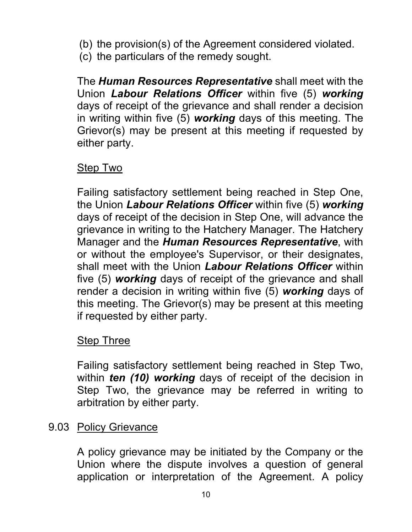- <span id="page-14-0"></span>(b) the provision(s) of the Agreement considered violated.
- (c) the particulars of the remedy sought.

The *Human Resources Representative* shall meet with the Union *Labour Relations Officer* within five (5) *working* days of receipt of the grievance and shall render a decision in writing within five (5) *working* days of this meeting. The Grievor(s) may be present at this meeting if requested by either party.

#### Step Two

Failing satisfactory settlement being reached in Step One, the Union *Labour Relations Officer* within five (5) *working* days of receipt of the decision in Step One, will advance the grievance in writing to the Hatchery Manager. The Hatchery Manager and the *Human Resources Representative*, with or without the employee's Supervisor, or their designates, shall meet with the Union *Labour Relations Officer* within five (5) *working* days of receipt of the grievance and shall render a decision in writing within five (5) *working* days of this meeting. The Grievor(s) may be present at this meeting if requested by either party.

#### **Step Three**

Failing satisfactory settlement being reached in Step Two, within *ten (10) working* days of receipt of the decision in Step Two, the grievance may be referred in writing to arbitration by either party.

#### 9.03 Policy Grievance

A policy grievance may be initiated by the Company or the Union where the dispute involves a question of general application or int[erpretation of the](#page-1-0) Agreement. A policy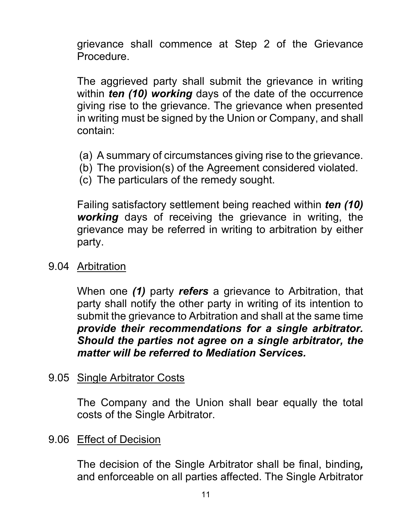<span id="page-15-0"></span>grievance shall commence at Step 2 of the Grievance **Procedure** 

The aggrieved party shall submit the grievance in writing within *ten (10) working* days of the date of the occurrence giving rise to the grievance. The grievance when presented in writing must be signed by the Union or Company, and shall contain:

- (a) A summary of circumstances giving rise to the grievance.
- (b) The provision(s) of the Agreement considered violated.
- (c) The particulars of the remedy sought.

Failing satisfactory settlement being reached within *ten (10) working* days of receiving the grievance in writing, the grievance may be referred in writing to arbitration by either party.

9.04 Arbitration

When one *(1)* party *refers* a grievance to Arbitration, that party shall notify the other party in writing of its intention to submit the grievance to Arbitration and shall at the same time *provide their recommendations for a single arbitrator. Should the parties not agree on a single arbitrator, the matter will be referred to Mediation Services.*

#### 9.05 Single Arbitrator Costs

The Company and the Union shall bear equally the total costs of the Single Arbitrator.

9.06 Effect of Decision

The decision of the Single Arbitrator shall be final, binding*,* and enforceable on all parties affected. The Single Arbitrator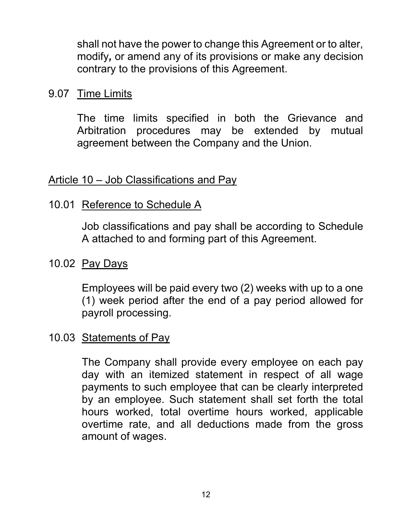<span id="page-16-0"></span>shall not have the power to change this Agreement or to alter, modify*,* or amend any of its provisions or make any decision contrary to the provisions of this Agreement.

9.07 Time Limits

The time limits specified in both the Grievance and Arbitration procedures may be extended by mutual agreement between the Company and the Union.

#### Article 10 – Job Classifications and Pay

# 10.01 Reference to Schedule A

Job classifications and pay shall be according to Schedule A attached to and forming part of this Agreement.

10.02 Pay Days

Employees will be paid every two (2) weeks with up to a one (1) week period after the end of a pay period allowed for payroll processing.

#### 10.03 Statements of Pay

The Company shall provide every employee on each pay day with an itemized statement in respect of all wage payments to such employee that can be clearly interpreted by an employee. Such statement shall set forth the total hours worked, total overtime hours worked, applicable overtime rate, and all deductions made from the gross amount of wages.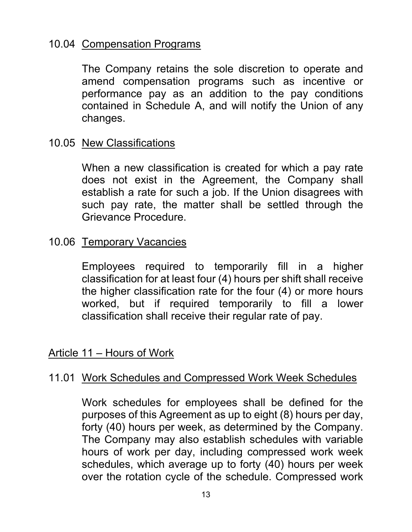# <span id="page-17-0"></span>10.04 Compensation Programs

The Company retains the sole discretion to operate and amend compensation programs such as incentive or performance pay as an addition to the pay conditions contained in Schedule A, and will notify the Union of any changes.

#### 10.05 New Classifications

When a new classification is created for which a pay rate does not exist in the Agreement, the Company shall establish a rate for such a job. If the Union disagrees with such pay rate, the matter shall be settled through the Grievance Procedure.

#### 10.06 Temporary Vacancies

Employees required to temporarily fill in a higher classification for at least four (4) hours per shift shall receive the higher classification rate for the four (4) or more hours worked, but if required temporarily to fill a lower classification shall receive their regular rate of pay.

#### Article 11 – Hours of Work

#### 11.01 Work Schedules and Compressed Work Week Schedules

Work schedules for employees shall be defined for the purposes of this Agreement as up to eight (8) hours per day, forty (40) hours per week, as determined by the Company. The Company may also establish schedules with variable hours of work per day, including compressed work week schedules, which average up to forty (40) hours per week over the rotation [cycle of the sche](#page-1-0)dule. Compressed work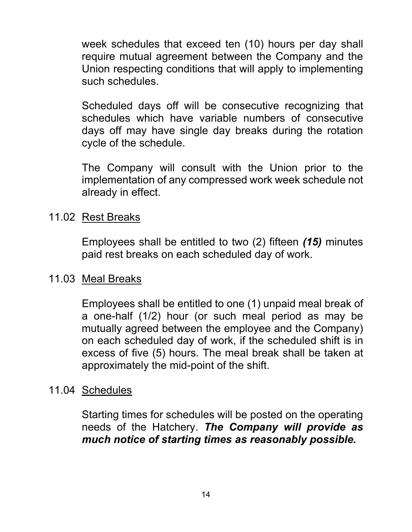<span id="page-18-0"></span>week schedules that exceed ten (10) hours per day shall require mutual agreement between the Company and the Union respecting conditions that will apply to implementing such schedules.

Scheduled days off will be consecutive recognizing that schedules which have variable numbers of consecutive days off may have single day breaks during the rotation cycle of the schedule.

The Company will consult with the Union prior to the implementation of any compressed work week schedule not already in effect.

#### 11.02 Rest Breaks

Employees shall be entitled to two (2) fifteen *(15)* minutes paid rest breaks on each scheduled day of work.

# 11.03 Meal Breaks

Employees shall be entitled to one (1) unpaid meal break of a one-half (1/2) hour (or such meal period as may be mutually agreed between the employee and the Company) on each scheduled day of work, if the scheduled shift is in excess of five (5) hours. The meal break shall be taken at approximately the mid-point of the shift.

# 11.04 Schedules

Starting times for schedules will be posted on the operating needs of the Hatchery. *The Company will provide as much notice of starting times as reasonably possible.*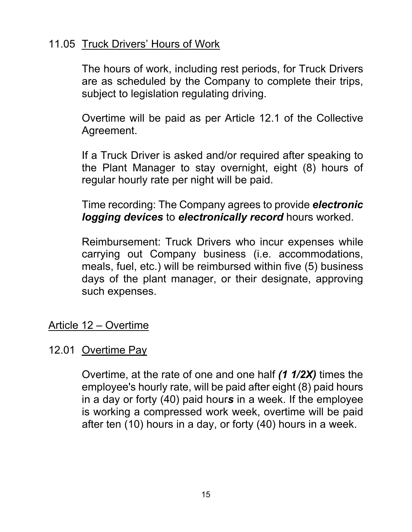# <span id="page-19-0"></span>11.05 Truck Drivers' Hours of Work

The hours of work, including rest periods, for Truck Drivers are as scheduled by the Company to complete their trips, subject to legislation regulating driving.

Overtime will be paid as per Article 12.1 of the Collective Agreement.

If a Truck Driver is asked and/or required after speaking to the Plant Manager to stay overnight, eight (8) hours of regular hourly rate per night will be paid.

Time recording: The Company agrees to provide *electronic logging devices* to *electronically record* hours worked.

Reimbursement: Truck Drivers who incur expenses while carrying out Company business (i.e. accommodations, meals, fuel, etc.) will be reimbursed within five (5) business days of the plant manager, or their designate, approving such expenses.

# Article 12 – Overtime

12.01 Overtime Pay

Overtime, at the rate of one and one half *(1 1/2X)* times the employee's hourly rate, will be paid after eight (8) paid hours in a day or forty (40) paid hour*s* in a week. If the employee is working a compressed work week, overtime will be paid after ten (10) hours in a day, or forty (40) hours in a week.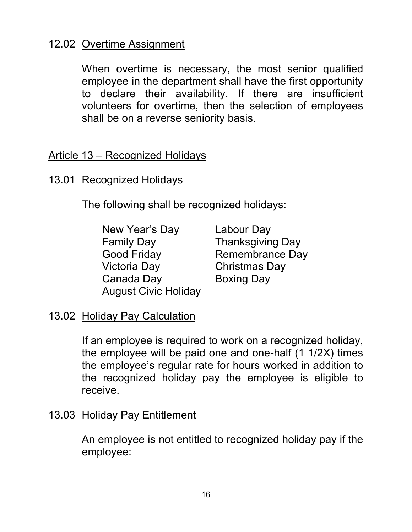# <span id="page-20-0"></span>12.02 Overtime Assignment

When overtime is necessary, the most senior qualified employee in the department shall have the first opportunity to declare their availability. If there are insufficient volunteers for overtime, then the selection of employees shall be on a reverse seniority basis.

# Article 13 – Recognized Holidays

# 13.01 Recognized Holidays

The following shall be recognized holidays:

New Year's Day Labour Day Family Day Thanksgiving Day Good Friday Remembrance Day Victoria Day Christmas Day Canada Day Boxing Day August Civic Holiday

# 13.02 Holiday Pay Calculation

If an employee is required to work on a recognized holiday, the employee will be paid one and one-half (1 1/2X) times the employee's regular rate for hours worked in addition to the recognized holiday pay the employee is eligible to receive.

#### 13.03 Holiday Pay Entitlement

An employee is not entitled to recognized holiday pay if the employee: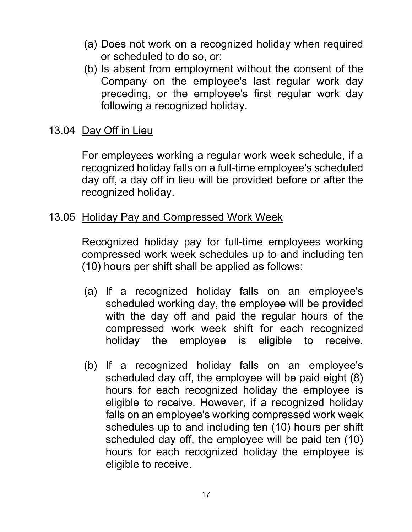- <span id="page-21-0"></span>(a) Does not work on a recognized holiday when required or scheduled to do so, or;
- (b) Is absent from employment without the consent of the Company on the employee's last regular work day preceding, or the employee's first regular work day following a recognized holiday.
- 13.04 Day Off in Lieu

For employees working a regular work week schedule, if a recognized holiday falls on a full-time employee's scheduled day off, a day off in lieu will be provided before or after the recognized holiday.

#### 13.05 Holiday Pay and Compressed Work Week

Recognized holiday pay for full-time employees working compressed work week schedules up to and including ten (10) hours per shift shall be applied as follows:

- (a) If a recognized holiday falls on an employee's scheduled working day, the employee will be provided with the day off and paid the regular hours of the compressed work week shift for each recognized holiday the employee is eligible to receive.
- (b) If a recognized holiday falls on an employee's scheduled day off, the employee will be paid eight (8) hours for each recognized holiday the employee is eligible to receive. However, if a recognized holiday falls on an employee's working compressed work week schedules up to and including ten (10) hours per shift scheduled day off, the employee will be paid ten (10) hours for each recognized holiday the employee is eligible to receive.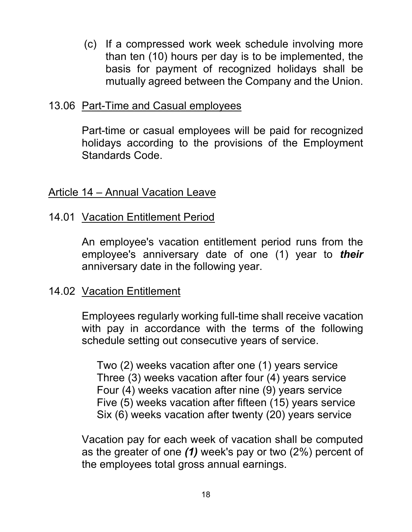<span id="page-22-0"></span>(c) If a compressed work week schedule involving more than ten (10) hours per day is to be implemented, the basis for payment of recognized holidays shall be mutually agreed between the Company and the Union.

#### 13.06 Part-Time and Casual employees

Part-time or casual employees will be paid for recognized holidays according to the provisions of the Employment Standards Code.

# Article 14 – Annual Vacation Leave

# 14.01 Vacation Entitlement Period

An employee's vacation entitlement period runs from the employee's anniversary date of one (1) year to *their* anniversary date in the following year.

# 14.02 Vacation Entitlement

Employees regularly working full-time shall receive vacation with pay in accordance with the terms of the following schedule setting out consecutive years of service.

Two (2) weeks vacation after one (1) years service Three (3) weeks vacation after four (4) years service Four (4) weeks vacation after nine (9) years service Five (5) weeks vacation after fifteen (15) years service Six (6) weeks vacation after twenty (20) years service

Vacation pay for each week of vacation shall be computed as the greater of one *(1)* week's pay or two (2%) percent of the employees total gross annual earnings.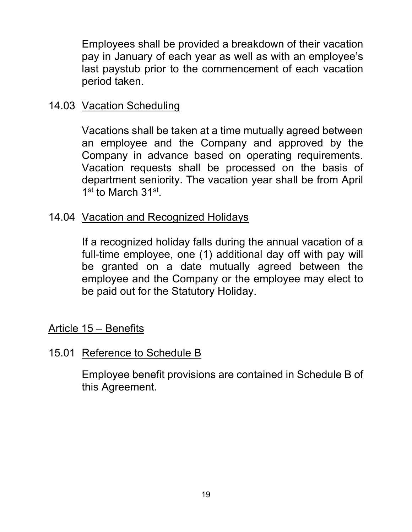<span id="page-23-0"></span>Employees shall be provided a breakdown of their vacation pay in January of each year as well as with an employee's last paystub prior to the commencement of each vacation period taken.

# 14.03 Vacation Scheduling

Vacations shall be taken at a time mutually agreed between an employee and the Company and approved by the Company in advance based on operating requirements. Vacation requests shall be processed on the basis of department seniority. The vacation year shall be from April 1st to March 31st.

#### 14.04 Vacation and Recognized Holidays

If a recognized holiday falls during the annual vacation of a full-time employee, one (1) additional day off with pay will be granted on a date mutually agreed between the employee and the Company or the employee may elect to be paid out for the Statutory Holiday.

#### Article 15 – Benefits

#### 15.01 Reference to Schedule B

Employee benefit provisions are contained in Schedule B of this Agreement.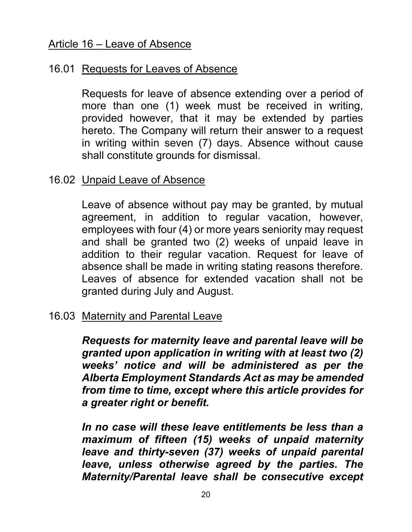#### <span id="page-24-0"></span>Article 16 – Leave of Absence

#### 16.01 Requests for Leaves of Absence

Requests for leave of absence extending over a period of more than one (1) week must be received in writing, provided however, that it may be extended by parties hereto. The Company will return their answer to a request in writing within seven (7) days. Absence without cause shall constitute grounds for dismissal.

#### 16.02 Unpaid Leave of Absence

Leave of absence without pay may be granted, by mutual agreement, in addition to regular vacation, however, employees with four (4) or more years seniority may request and shall be granted two (2) weeks of unpaid leave in addition to their regular vacation. Request for leave of absence shall be made in writing stating reasons therefore. Leaves of absence for extended vacation shall not be granted during July and August.

#### 16.03 Maternity and Parental Leave

*Requests for maternity leave and parental leave will be granted upon application in writing with at least two (2) weeks' notice and will be administered as per the Alberta Employment Standards Act as may be amended from time to time, except where this article provides for a greater right or benefit.* 

*In no case will these leave entitlements be less than a maximum of fifteen (15) weeks of unpaid maternity leave and thirty-seven (37) weeks of unpaid parental leave, unless otherwise agreed by the parties. The Maternity/Parenta[l leave shall b](#page-1-0)e consecutive except*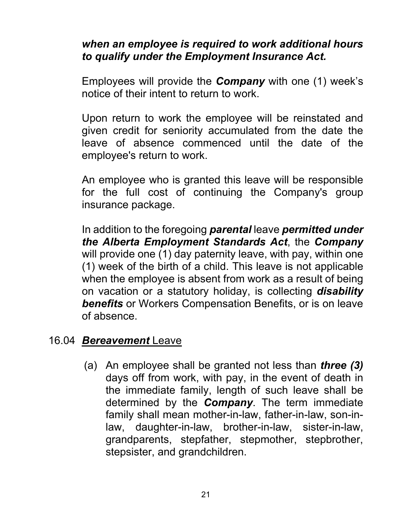# <span id="page-25-0"></span>*when an employee is required to work additional hours to qualify under the Employment Insurance Act.*

Employees will provide the *Company* with one (1) week's notice of their intent to return to work.

Upon return to work the employee will be reinstated and given credit for seniority accumulated from the date the leave of absence commenced until the date of the employee's return to work.

An employee who is granted this leave will be responsible for the full cost of continuing the Company's group insurance package.

In addition to the foregoing *parental* leave *permitted under the Alberta Employment Standards Act*, the *Company* will provide one (1) day paternity leave, with pay, within one (1) week of the birth of a child. This leave is not applicable when the employee is absent from work as a result of being on vacation or a statutory holiday, is collecting *disability benefits* or Workers Compensation Benefits, or is on leave of absence.

# 16.04 *Bereavement* Leave

(a) An employee shall be granted not less than *three (3)* days off from work, with pay, in the event of death in the immediate family, length of such leave shall be determined by the *Company*. The term immediate family shall mean mother-in-law, father-in-law, son-inlaw, daughter-in-law, brother-in-law, sister-in-law, grandparents, stepfather, stepmother, stepbrother, stepsister, and grandchildren.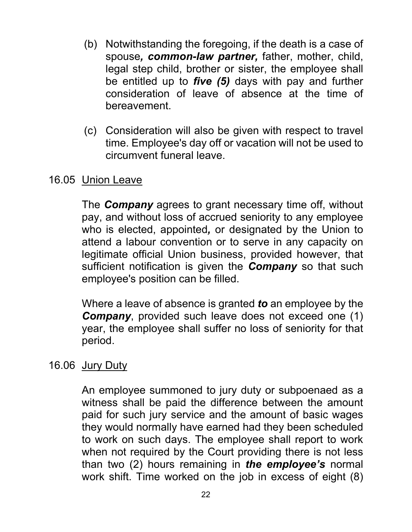- <span id="page-26-0"></span>(b) Notwithstanding the foregoing, if the death is a case of spouse*, common-law partner,* father, mother, child, legal step child, brother or sister, the employee shall be entitled up to *five (5)* days with pay and further consideration of leave of absence at the time of bereavement.
- (c) Consideration will also be given with respect to travel time. Employee's day off or vacation will not be used to circumvent funeral leave.

# 16.05 Union Leave

The *Company* agrees to grant necessary time off, without pay, and without loss of accrued seniority to any employee who is elected, appointed*,* or designated by the Union to attend a labour convention or to serve in any capacity on legitimate official Union business, provided however, that sufficient notification is given the *Company* so that such employee's position can be filled.

Where a leave of absence is granted *to* an employee by the *Company*, provided such leave does not exceed one (1) year, the employee shall suffer no loss of seniority for that period.

#### 16.06 Jury Duty

An employee summoned to jury duty or subpoenaed as a witness shall be paid the difference between the amount paid for such jury service and the amount of basic wages they would normally have earned had they been scheduled to work on such days. The employee shall report to work when not required by the Court providing there is not less than two (2) hours remaining in *the employee's* normal work shift. Time [worked on the job](#page-1-0) in excess of eight (8)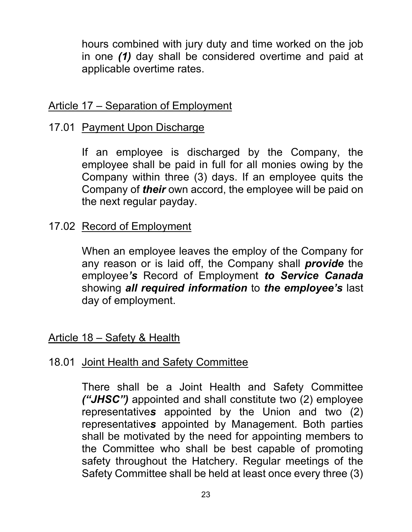<span id="page-27-0"></span>hours combined with jury duty and time worked on the job in one *(1)* day shall be considered overtime and paid at applicable overtime rates.

# Article 17 – Separation of Employment

#### 17.01 Payment Upon Discharge

If an employee is discharged by the Company, the employee shall be paid in full for all monies owing by the Company within three (3) days. If an employee quits the Company of *their* own accord, the employee will be paid on the next regular payday.

# 17.02 Record of Employment

When an employee leaves the employ of the Company for any reason or is laid off, the Company shall *provide* the employee*'s* Record of Employment *to Service Canada* showing *all required information* to *the employee's* last day of employment.

#### Article 18 – Safety & Health

# 18.01 Joint Health and Safety Committee

There shall be a Joint Health and Safety Committee *("JHSC")* appointed and shall constitute two (2) employee representative*s* appointed by the Union and two (2) representative*s* appointed by Management. Both parties shall be motivated by the need for appointing members to the Committee who shall be best capable of promoting safety throughout the Hatchery. Regular meetings of the Safety Committee shall be held at least once every three (3)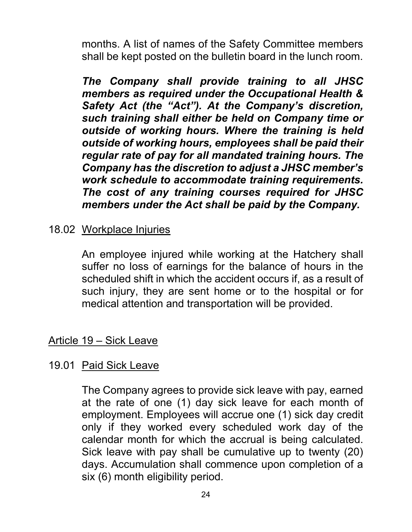<span id="page-28-0"></span>months. A list of names of the Safety Committee members shall be kept posted on the bulletin board in the lunch room.

*The Company shall provide training to all JHSC members as required under the Occupational Health & Safety Act (the "Act"). At the Company's discretion, such training shall either be held on Company time or outside of working hours. Where the training is held outside of working hours, employees shall be paid their regular rate of pay for all mandated training hours. The Company has the discretion to adjust a JHSC member's work schedule to accommodate training requirements. The cost of any training courses required for JHSC members under the Act shall be paid by the Company.*

#### 18.02 Workplace Injuries

An employee injured while working at the Hatchery shall suffer no loss of earnings for the balance of hours in the scheduled shift in which the accident occurs if, as a result of such injury, they are sent home or to the hospital or for medical attention and transportation will be provided.

#### Article 19 – Sick Leave

# 19.01 Paid Sick Leave

The Company agrees to provide sick leave with pay, earned at the rate of one (1) day sick leave for each month of employment. Employees will accrue one (1) sick day credit only if they worked every scheduled work day of the calendar month for which the accrual is being calculated. Sick leave with pay shall be cumulative up to twenty (20) days. Accumulation shall commence upon completion of a six (6) month eligi[bility period.](#page-1-0)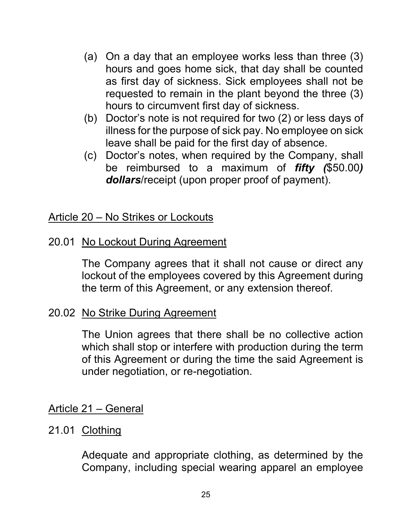- <span id="page-29-0"></span>(a) On a day that an employee works less than three (3) hours and goes home sick, that day shall be counted as first day of sickness. Sick employees shall not be requested to remain in the plant beyond the three (3) hours to circumvent first day of sickness.
- (b) Doctor's note is not required for two (2) or less days of illness for the purpose of sick pay. No employee on sick leave shall be paid for the first day of absence.
- (c) Doctor's notes, when required by the Company, shall be reimbursed to a maximum of *fifty (*\$50.00*) dollars*/receipt (upon proper proof of payment).

#### Article 20 – No Strikes or Lockouts

20.01 No Lockout During Agreement

The Company agrees that it shall not cause or direct any lockout of the employees covered by this Agreement during the term of this Agreement, or any extension thereof.

#### 20.02 No Strike During Agreement

The Union agrees that there shall be no collective action which shall stop or interfere with production during the term of this Agreement or during the time the said Agreement is under negotiation, or re-negotiation.

#### Article 21 – General

#### 21.01 Clothing

Adequate and appropriate clothing, as determined by the Company, including special wearing apparel an employee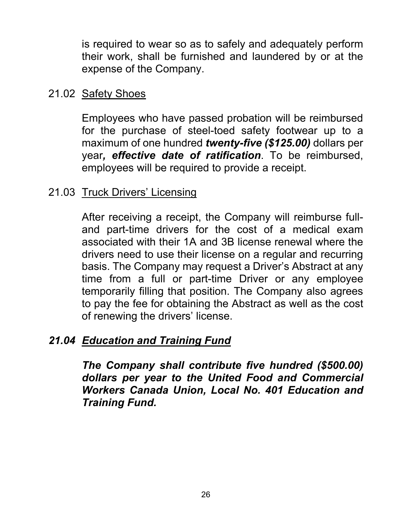<span id="page-30-0"></span>is required to wear so as to safely and adequately perform their work, shall be furnished and laundered by or at the expense of the Company.

#### 21.02 Safety Shoes

Employees who have passed probation will be reimbursed for the purchase of steel-toed safety footwear up to a maximum of one hundred *twenty-five (\$125.00)* dollars per year*, effective date of ratification*. To be reimbursed, employees will be required to provide a receipt.

# 21.03 Truck Drivers' Licensing

After receiving a receipt, the Company will reimburse fulland part-time drivers for the cost of a medical exam associated with their 1A and 3B license renewal where the drivers need to use their license on a regular and recurring basis. The Company may request a Driver's Abstract at any time from a full or part-time Driver or any employee temporarily filling that position. The Company also agrees to pay the fee for obtaining the Abstract as well as the cost of renewing the drivers' license.

# *21.04 Education and Training Fund*

*The Company shall contribute five hundred (\$500.00) dollars per year to the United Food and Commercial Workers Canada Union, Local No. 401 Education and Training Fund.*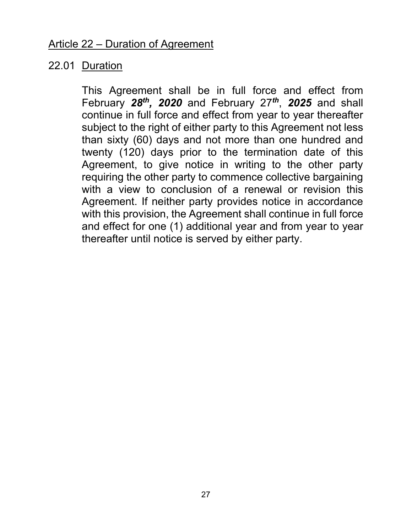# <span id="page-31-0"></span>Article 22 – Duration of Agreement

# 22.01 Duration

This Agreement shall be in full force and effect from February *28th, 2020* and February 27*th*, *2025* and shall continue in full force and effect from year to year thereafter subject to the right of either party to this Agreement not less than sixty (60) days and not more than one hundred and twenty (120) days prior to the termination date of this Agreement, to give notice in writing to the other party requiring the other party to commence collective bargaining with a view to conclusion of a renewal or revision this Agreement. If neither party provides notice in accordance with this provision, the Agreement shall continue in full force and effect for one (1) additional year and from year to year thereafter until notice is served by either party.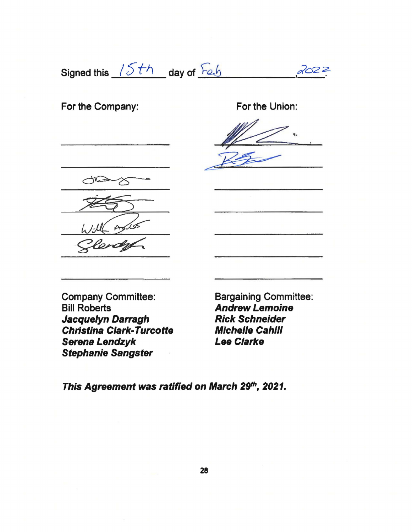Signed this  $15th$  day of  $F_{2b}$ 

For the Company:

For the Union:



Company Committee: Bill Roberts **Jacquelyn Darragh Christina Clark-Turcotte Serena Lendzyk Stephanie Sangster** 

Bargaining Committee: **Andrew Lemoine Rick Schneider Michelle Cahill Lee Clarke** 

**This Agreement was ratified on March 29th, 2021.**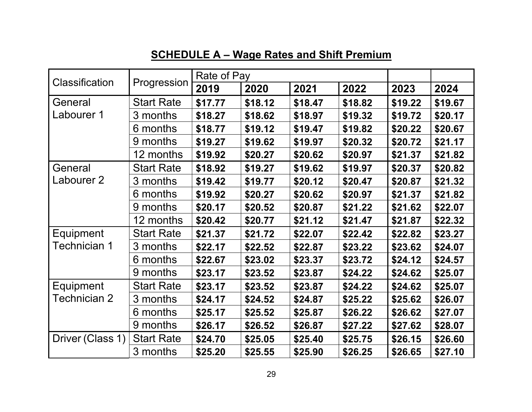|--|

<span id="page-33-0"></span>

| <b>Classification</b> | Progression       | Rate of Pay |         |         |         |         |         |
|-----------------------|-------------------|-------------|---------|---------|---------|---------|---------|
|                       |                   | 2019        | 2020    | 2021    | 2022    | 2023    | 2024    |
| General               | <b>Start Rate</b> | \$17.77     | \$18.12 | \$18.47 | \$18.82 | \$19.22 | \$19.67 |
| Labourer 1            | 3 months          | \$18.27     | \$18.62 | \$18.97 | \$19.32 | \$19.72 | \$20.17 |
|                       | 6 months          | \$18.77     | \$19.12 | \$19.47 | \$19.82 | \$20.22 | \$20.67 |
|                       | months<br>9       | \$19.27     | \$19.62 | \$19.97 | \$20.32 | \$20.72 | \$21.17 |
|                       | 12 months         | \$19.92     | \$20.27 | \$20.62 | \$20.97 | \$21.37 | \$21.82 |
| General               | <b>Start Rate</b> | \$18.92     | \$19.27 | \$19.62 | \$19.97 | \$20.37 | \$20.82 |
| Labourer 2            | 3 months          | \$19.42     | \$19.77 | \$20.12 | \$20.47 | \$20.87 | \$21.32 |
|                       | 6 months          | \$19.92     | \$20.27 | \$20.62 | \$20.97 | \$21.37 | \$21.82 |
|                       | months<br>9       | \$20.17     | \$20.52 | \$20.87 | \$21.22 | \$21.62 | \$22.07 |
|                       | 12 months         | \$20.42     | \$20.77 | \$21.12 | \$21.47 | \$21.87 | \$22.32 |
| Equipment             | <b>Start Rate</b> | \$21.37     | \$21.72 | \$22.07 | \$22.42 | \$22.82 | \$23.27 |
| Technician 1          | 3 months          | \$22.17     | \$22.52 | \$22.87 | \$23.22 | \$23.62 | \$24.07 |
|                       | 6 months          | \$22.67     | \$23.02 | \$23.37 | \$23.72 | \$24.12 | \$24.57 |
|                       | 9 months          | \$23.17     | \$23.52 | \$23.87 | \$24.22 | \$24.62 | \$25.07 |
| Equipment             | <b>Start Rate</b> | \$23.17     | \$23.52 | \$23.87 | \$24.22 | \$24.62 | \$25.07 |
| Technician 2          | 3 months          | \$24.17     | \$24.52 | \$24.87 | \$25.22 | \$25.62 | \$26.07 |
|                       | 6 months          | \$25.17     | \$25.52 | \$25.87 | \$26.22 | \$26.62 | \$27.07 |
|                       | 9 months          | \$26.17     | \$26.52 | \$26.87 | \$27.22 | \$27.62 | \$28.07 |
| Driver (Class 1)      | <b>Start Rate</b> | \$24.70     | \$25.05 | \$25.40 | \$25.75 | \$26.15 | \$26.60 |
|                       | 3 months          | \$25.20     | \$25.55 | \$25.90 | \$26.25 | \$26.65 | \$27.10 |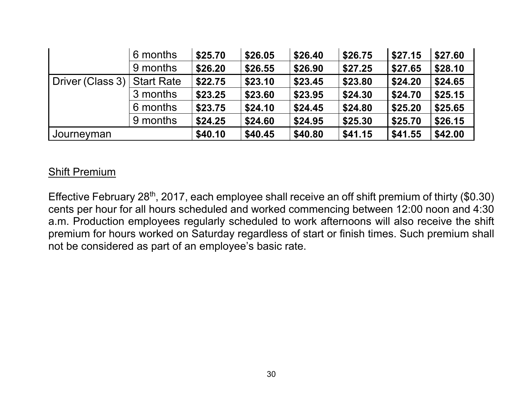<span id="page-34-0"></span>

|                  | 6 months          | \$25.70 | \$26.05 | \$26.40 | \$26.75 | \$27.15 | \$27.60 |
|------------------|-------------------|---------|---------|---------|---------|---------|---------|
|                  | 9 months          | \$26.20 | \$26.55 | \$26.90 | \$27.25 | \$27.65 | \$28.10 |
| Driver (Class 3) | <b>Start Rate</b> | \$22.75 | \$23.10 | \$23.45 | \$23.80 | \$24.20 | \$24.65 |
|                  | 3 months          | \$23.25 | \$23.60 | \$23.95 | \$24.30 | \$24.70 | \$25.15 |
|                  | 6 months          | \$23.75 | \$24.10 | \$24.45 | \$24.80 | \$25.20 | \$25.65 |
|                  | 9 months          | \$24.25 | \$24.60 | \$24.95 | \$25.30 | \$25.70 | \$26.15 |
| Journeyman       |                   | \$40.10 | \$40.45 | \$40.80 | \$41.15 | \$41.55 | \$42.00 |

#### Shift Premium

Effective February 28<sup>th</sup>, 2017, each employee shall receive an off shift premium of thirty (\$0.30) cents per hour for all hours scheduled and worked commencing between 12:00 noon and 4:30 a.m. Production employees regularly scheduled to work afternoons will also receive the shift premium for hours worked on Saturday regardless of start or finish times. Such premium shall not be considered as part of an employee's basic rate.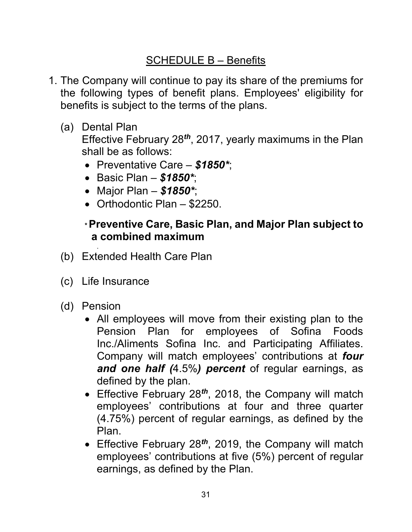# SCHEDULE B – Benefits

- <span id="page-35-0"></span>1. The Company will continue to pay its share of the premiums for the following types of benefit plans. Employees' eligibility for benefits is subject to the terms of the plans.
	- (a) Dental Plan Effective February 28*th*, 2017, yearly maximums in the Plan shall be as follows:
		- Preventative Care *\$1850\**;
		- Basic Plan *\$1850\**;
		- Major Plan *\$1850\**;
		- Orthodontic Plan \$2250.

# **\* Preventive Care, Basic Plan, and Major Plan subject to a combined maximum**

- . (b) Extended Health Care Plan
- (c) Life Insurance
- (d) Pension
	- All employees will move from their existing plan to the Pension Plan for employees of Sofina Foods Inc./Aliments Sofina Inc. and Participating Affiliates. Company will match employees' contributions at *four and one half (*4.5%*) percent* of regular earnings, as defined by the plan.
	- Effective February 28*th*, 2018, the Company will match employees' contributions at four and three quarter (4.75%) percent of regular earnings, as defined by the Plan.
	- Effective February 28*th*, 2019, the Company will match employees' contributions at five (5%) percent of regular earnings, as d[efined by the Plan](#page-1-0).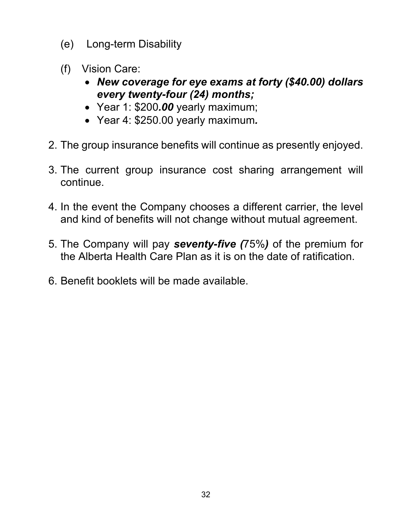- (e) Long-term Disability
- (f) Vision Care:
	- *New coverage for eye exams at forty (\$40.00) dollars every twenty-four (24) months;*
	- Year 1: \$200*.00* yearly maximum;
	- Year 4: \$250.00 yearly maximum*.*
- 2. The group insurance benefits will continue as presently enjoyed.
- 3. The current group insurance cost sharing arrangement will continue.
- 4. In the event the Company chooses a different carrier, the level and kind of benefits will not change without mutual agreement.
- 5. The Company will pay *seventy-five (*75%*)* of the premium for the Alberta Health Care Plan as it is on the date of ratification.
- 6. Benefit booklets will be made available.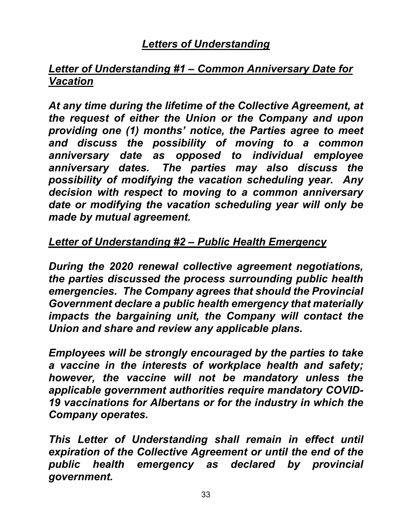# *Letters of Understanding*

# <span id="page-37-0"></span>*Letter of Understanding #1 – Common Anniversary Date for Vacation*

*At any time during the lifetime of the Collective Agreement, at the request of either the Union or the Company and upon providing one (1) months' notice, the Parties agree to meet and discuss the possibility of moving to a common anniversary date as opposed to individual employee anniversary dates. The parties may also discuss the possibility of modifying the vacation scheduling year. Any decision with respect to moving to a common anniversary date or modifying the vacation scheduling year will only be made by mutual agreement.*

# *Letter of Understanding #2 – Public Health Emergency*

*During the 2020 renewal collective agreement negotiations, the parties discussed the process surrounding public health emergencies. The Company agrees that should the Provincial Government declare a public health emergency that materially impacts the bargaining unit, the Company will contact the Union and share and review any applicable plans.*

*Employees will be strongly encouraged by the parties to take a vaccine in the interests of workplace health and safety; however, the vaccine will not be mandatory unless the applicable government authorities require mandatory COVID-19 vaccinations for Albertans or for the industry in which the Company operates.*

*This Letter of Understanding shall remain in effect until expiration of the Collective Agreement or until the end of the public health emergency as declared by provincial government.*